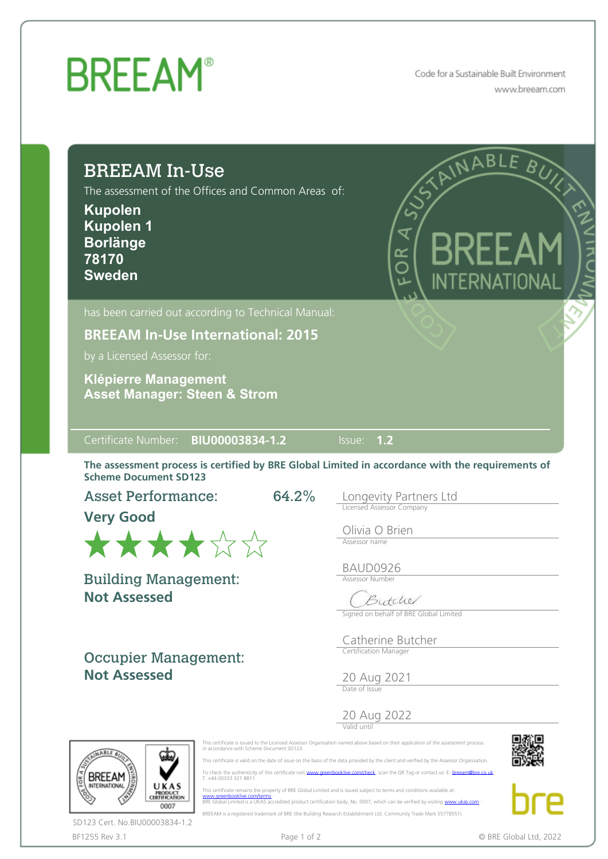## **BREEAM®**

Code for a Sustainable Built Environment www.breeam.com

| The assessment of the Offices and Common Areas of:<br><b>Kupolen</b><br><b>Kupolen 1</b><br><b>Borlänge</b><br>78170<br><b>Sweden</b>                                                                    | STAINABLE BUILD<br>$\zeta$<br>₹<br>KRFF AI<br>6R<br>INTERNATIONAL                                                         |
|----------------------------------------------------------------------------------------------------------------------------------------------------------------------------------------------------------|---------------------------------------------------------------------------------------------------------------------------|
| has been carried out according to Technical Manual:<br><b>BREEAM In-Use International: 2015</b><br>by a Licensed Assessor for:<br><b>Klépierre Management</b><br><b>Asset Manager: Steen &amp; Strom</b> |                                                                                                                           |
|                                                                                                                                                                                                          |                                                                                                                           |
| Certificate Number: BIU00003834-1.2                                                                                                                                                                      | Issue: 1.2<br>The assessment process is certified by BRE Global Limited in accordance with the requirements of            |
| <b>Scheme Document SD123</b><br><b>Asset Performance:</b><br><b>Very Good</b><br>******                                                                                                                  | 64.2%<br>Longevity Partners Ltd<br>Licensed Assessor Company<br>Olivia O Brien<br>Assessor name                           |
| <b>Building Management:</b><br><b>Not Assessed</b>                                                                                                                                                       | BAUD0926<br><b>Assessor Number</b><br>$\sqrt{2}$<br>sytche<br>Signed on behalf of BRE Global Limited<br>Catherine Butcher |



BF1255 Rev 3.1 **Page 1 of 2** Page 1 of 2 **COVID-2022 COVID-2022 COVID-2022 COVID-2022** SD123 Cert. No.BIU00003834-1.2

 This certificate is valid on the date of issue on the basis of the data provided by the client and verified by the Assessor Organisation. To check the authenticity of this certificate visit [www.greenbooklive.com/check](http://www.greenbooklive.com/check), scan the QR Tag or contact us: E: [breeam@bre.co.uk](mailto:breeam@bre.co.uk)<br>T. +44 (0)333 321 8811

This certificate remains the property of BRE Global Limited and is issued subject to terms and conditions available at:<br>[www.greenbooklive.com/terms](http://www.greenbooklive.com/terms)...<br>BRE Global Limited is a UKAS accredited product certification body, No. BREEAM is a registered trademark of BRE (the Building Research Establishment Ltd. Community Trade Mark E5778551).

 $\overline{\mathsf{P}}$